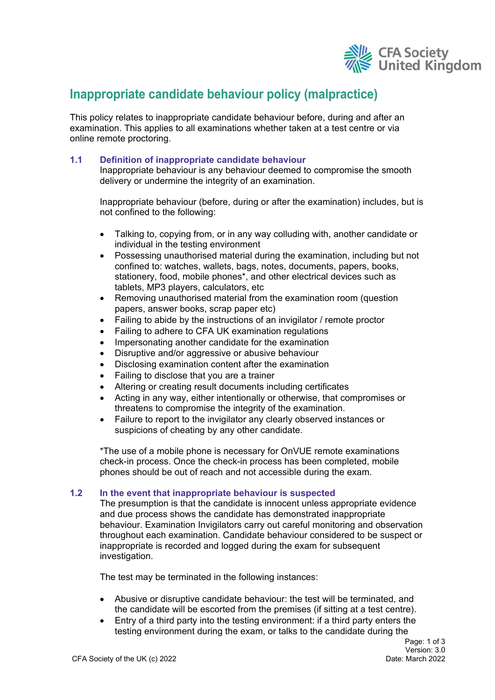

# **Inappropriate candidate behaviour policy (malpractice)**

This policy relates to inappropriate candidate behaviour before, during and after an examination. This applies to all examinations whether taken at a test centre or via online remote proctoring.

# **1.1 Definition of inappropriate candidate behaviour**

Inappropriate behaviour is any behaviour deemed to compromise the smooth delivery or undermine the integrity of an examination.

Inappropriate behaviour (before, during or after the examination) includes, but is not confined to the following:

- Talking to, copying from, or in any way colluding with, another candidate or individual in the testing environment
- Possessing unauthorised material during the examination, including but not confined to: watches, wallets, bags, notes, documents, papers, books, stationery, food, mobile phones\*, and other electrical devices such as tablets, MP3 players, calculators, etc
- Removing unauthorised material from the examination room (question papers, answer books, scrap paper etc)
- Failing to abide by the instructions of an invigilator / remote proctor
- Failing to adhere to CFA UK examination regulations
- Impersonating another candidate for the examination
- Disruptive and/or aggressive or abusive behaviour
- Disclosing examination content after the examination
- Failing to disclose that you are a trainer
- Altering or creating result documents including certificates
- Acting in any way, either intentionally or otherwise, that compromises or threatens to compromise the integrity of the examination.
- Failure to report to the invigilator any clearly observed instances or suspicions of cheating by any other candidate.

\*The use of a mobile phone is necessary for OnVUE remote examinations check-in process. Once the check-in process has been completed, mobile phones should be out of reach and not accessible during the exam.

## **1.2 In the event that inappropriate behaviour is suspected**

The presumption is that the candidate is innocent unless appropriate evidence and due process shows the candidate has demonstrated inappropriate behaviour. Examination Invigilators carry out careful monitoring and observation throughout each examination. Candidate behaviour considered to be suspect or inappropriate is recorded and logged during the exam for subsequent investigation.

The test may be terminated in the following instances:

- Abusive or disruptive candidate behaviour: the test will be terminated, and the candidate will be escorted from the premises (if sitting at a test centre).
- Entry of a third party into the testing environment: if a third party enters the testing environment during the exam, or talks to the candidate during the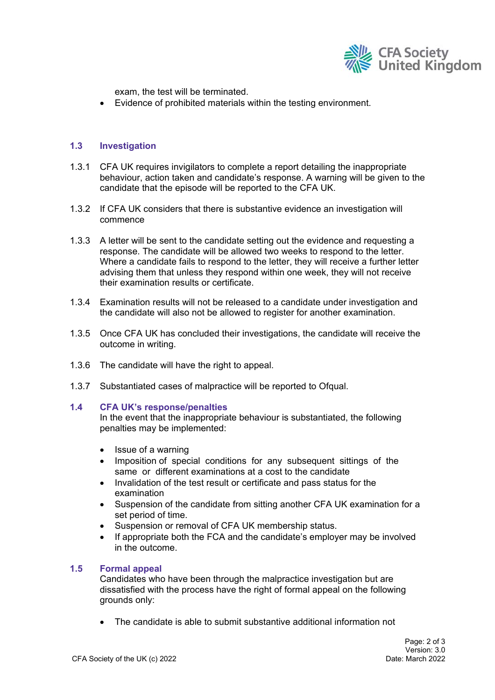

exam, the test will be terminated.

Evidence of prohibited materials within the testing environment.

## **1.3 Investigation**

- 1.3.1 CFA UK requires invigilators to complete a report detailing the inappropriate behaviour, action taken and candidate's response. A warning will be given to the candidate that the episode will be reported to the CFA UK.
- 1.3.2 If CFA UK considers that there is substantive evidence an investigation will commence
- 1.3.3 A letter will be sent to the candidate setting out the evidence and requesting a response. The candidate will be allowed two weeks to respond to the letter. Where a candidate fails to respond to the letter, they will receive a further letter advising them that unless they respond within one week, they will not receive their examination results or certificate.
- 1.3.4 Examination results will not be released to a candidate under investigation and the candidate will also not be allowed to register for another examination.
- 1.3.5 Once CFA UK has concluded their investigations, the candidate will receive the outcome in writing.
- 1.3.6 The candidate will have the right to appeal.
- 1.3.7 Substantiated cases of malpractice will be reported to Ofqual.

## **1.4 CFA UK's response/penalties**

In the event that the inappropriate behaviour is substantiated, the following penalties may be implemented:

- Issue of a warning
- Imposition of special conditions for any subsequent sittings of the same or different examinations at a cost to the candidate
- Invalidation of the test result or certificate and pass status for the examination
- Suspension of the candidate from sitting another CFA UK examination for a set period of time.
- Suspension or removal of CFA UK membership status.
- If appropriate both the FCA and the candidate's employer may be involved in the outcome.

## **1.5 Formal appeal**

Candidates who have been through the malpractice investigation but are dissatisfied with the process have the right of formal appeal on the following grounds only:

The candidate is able to submit substantive additional information not